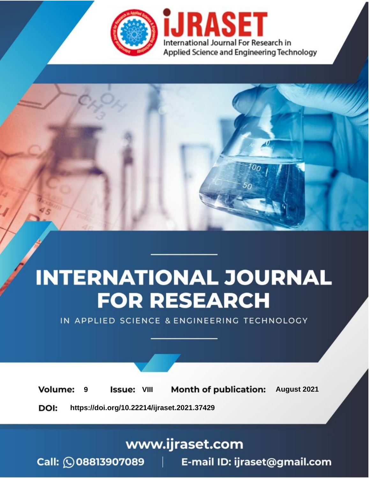

# **INTERNATIONAL JOURNAL FOR RESEARCH**

IN APPLIED SCIENCE & ENGINEERING TECHNOLOGY

**Month of publication: Volume: Issue: VIII** August 2021 9 DOI: https://doi.org/10.22214/ijraset.2021.37429

www.ijraset.com

 $Call: \bigcirc$ 08813907089 E-mail ID: ijraset@gmail.com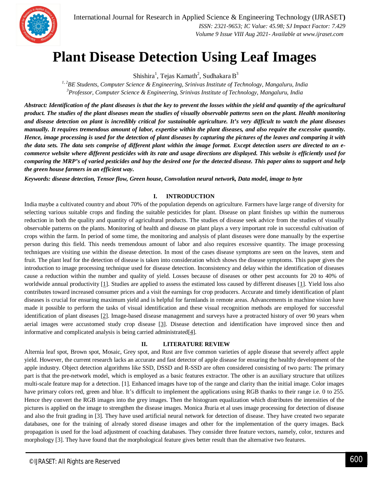### **Plant Disease Detection Using Leaf Images**

 $\mathrm{Shishira}^1, \mathrm{Tejas\ Kamath}^2, \mathrm{Sudhakara\,B}^3$ 

*1, 2BE Students, Computer Science & Engineering, Srinivas Institute of Technology, Mangaluru, India <sup>3</sup>Professor, Computer Science & Engineering, Srinivas Institute of Technology, Mangaluru, India*

*Abstract: Identification of the plant diseases is that the key to prevent the losses within the yield and quantity of the agricultural product. The studies of the plant diseases mean the studies of visually observable patterns seen on the plant. Health monitoring and disease detection on plant is incredibly critical for sustainable agriculture. It's very difficult to watch the plant diseases manually. It requires tremendous amount of labor, expertise within the plant diseases, and also require the excessive quantity. Hence, image processing is used for the detection of plant diseases by capturing the pictures of the leaves and comparing it with the data sets. The data sets comprise of different plant within the image format. Except detection users are directed to an ecommerce website where different pesticides with its rate and usage directions are displayed. This website is efficiently used for comparing the MRP's of varied pesticides and buy the desired one for the detected disease. This paper aims to support and help the green house farmers in an efficient way.*

*Keywords: disease detection, Tensor flow, Green house, Convolution neural network, Data model, image to byte*

#### **I. INTRODUCTION**

India maybe a cultivated country and about 70% of the population depends on agriculture. Farmers have large range of diversity for selecting various suitable crops and finding the suitable pesticides for plant. Disease on plant finishes up within the numerous reduction in both the quality and quantity of agricultural products. The studies of disease seek advice from the studies of visually observable patterns on the plants. Monitoring of health and disease on plant plays a very important role in successful cultivation of crops within the farm. In period of some time, the monitoring and analysis of plant diseases were done manually by the expertise person during this field. This needs tremendous amount of labor and also requires excessive quantity. The image processing techniques are visiting use within the disease detection. In most of the cases disease symptoms are seen on the leaves, stem and fruit. The plant leaf for the detection of disease is taken into consideration which shows the disease symptoms. This paper gives the introduction to image processing technique used for disease detection. Inconsistency and delay within the identification of diseases cause a reduction within the number and quality of yield. Losses because of diseases or other pest accounts for 20 to 40% of worldwide annual productivity [1]. Studies are applied to assess the estimated loss caused by different diseases [1]. Yield loss also contributes toward increased consumer prices and a visit the earnings for crop producers. Accurate and timely identification of plant diseases is crucial for ensuring maximum yield and is helpful for farmlands in remote areas. Advancements in machine vision have made it possible to perform the tasks of visual identification and these visual recognition methods are employed for successful identification of plant diseases [2]. Image-based disease management and surveys have a protracted history of over 90 years when aerial images were accustomed study crop disease [3]. Disease detection and identification have improved since then and informative and complicated analysis is being carried administrated[4].

#### **II. LITERATURE REVIEW**

Alternia leaf spot, Brown spot, Mosaic, Grey spot, and Rust are five common varieties of apple disease that severely affect apple yield. However, the current research lacks an accurate and fast detector of apple disease for ensuring the healthy development of the apple industry. Object detection algorithms like SSD, DSSD and R-SSD are often considered consisting of two parts: The primary part is that the pre-network model, which is employed as a basic features extractor. The other is an auxiliary structure that utilizes multi-scale feature map for a detection. [1]. Enhanced images have top of the range and clarity than the initial image. Color images have primary colors red, green and blue. It's difficult to implement the applications using RGB thanks to their range i.e. 0 to 255. Hence they convert the RGB images into the grey images. Then the histogram equalization which distributes the intensities of the pictures is applied on the image to strengthen the disease images. Monica Jhuria et al uses image processing for detection of disease and also the fruit grading in [3]. They have used artificial neural network for detection of disease. They have created two separate databases, one for the training of already stored disease images and other for the implementation of the query images. Back propagation is used for the load adjustment of coaching databases. They consider three feature vectors, namely, color, textures and morphology [3]. They have found that the morphological feature gives better result than the alternative two features.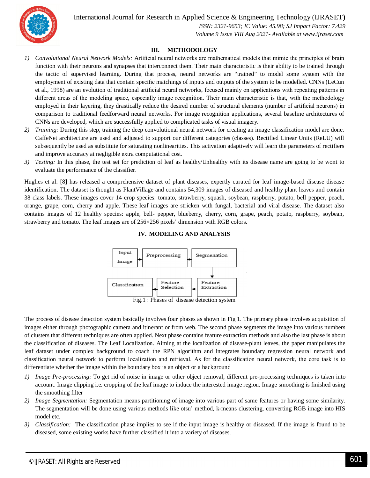International Journal for Research in Applied Science & Engineering Technology (IJRASET**)**



 *ISSN: 2321-9653; IC Value: 45.98; SJ Impact Factor: 7.429 Volume 9 Issue VIII Aug 2021- Available at www.ijraset.com*

#### **III. METHODOLOGY**

- *1) Convolutional Neural Network Models:* Artificial neural networks are mathematical models that mimic the principles of brain function with their neurons and synapses that interconnect them. Their main characteristic is their ability to be trained through the tactic of supervised learning. During that process, neural networks are "trained" to model some system with the employment of existing data that contain specific matchings of inputs and outputs of the system to be modelled. CNNs (LeCun et al., 1998) are an evolution of traditional artificial neural networks, focused mainly on applications with repeating patterns in different areas of the modeling space, especially image recognition. Their main characteristic is that, with the methodology employed in their layering, they drastically reduce the desired number of structural elements (number of artificial neurons) in comparison to traditional feedforward neural networks. For image recognition applications, several baseline architectures of CNNs are developed, which are successfully applied to complicated tasks of visual imagery.
- *2) Training:* During this step, training the deep convolutional neural network for creating an image classification model are done. CaffeNet architecture are used and adjusted to support our different categories (classes). Rectified Linear Units (ReLU) will subsequently be used as substitute for saturating nonlinearities. This activation adaptively will learn the parameters of rectifiers and improve accuracy at negligible extra computational cost.
- *3) Testing:* In this phase, the test set for prediction of leaf as healthy/Unhealthy with its disease name are going to be wont to evaluate the performance of the classifier.

Hughes et al. [8] has released a comprehensive dataset of plant diseases, expertly curated for leaf image-based disease disease identification. The dataset is thought as PlantVillage and contains 54,309 images of diseased and healthy plant leaves and contain 38 class labels. These images cover 14 crop species: tomato, strawberry, squash, soybean, raspberry, potato, bell pepper, peach, orange, grape, corn, cherry and apple. These leaf images are stricken with fungal, bacterial and viral disease. The dataset also contains images of 12 healthy species: apple, bell- pepper, blueberry, cherry, corn, grape, peach, potato, raspberry, soybean, strawberry and tomato. The leaf images are of 256×256 pixels' dimension with RGB colors.



**IV. MODELING AND ANALYSIS**

Fig.1 : Phases of disease detection system

The process of disease detection system basically involves four phases as shown in Fig 1. The primary phase involves acquisition of images either through photographic camera and itinerant or from web. The second phase segments the image into various numbers of clusters that different techniques are often applied. Next phase contains feature extraction methods and also the last phase is about the classification of diseases. The Leaf Localization*.* Aiming at the localization of disease-plant leaves, the paper manipulates the leaf dataset under complex background to coach the RPN algorithm and integrates boundary regression neural network and classification neural network to perform localization and retrieval. As for the classification neural network, the core task is to differentiate whether the image within the boundary box is an object or a background

- *1) Image Pre-processing:* To get rid of noise in image or other object removal, different pre-processing techniques is taken into account. Image clipping i.e. cropping of the leaf image to induce the interested image region. Image smoothing is finished using the smoothing filter
- *2) Image Segmentation:* Segmentation means partitioning of image into various part of same features or having some similarity. The segmentation will be done using various methods like otsu' method, k-means clustering, converting RGB image into HIS model etc.
- *3) Classification:* The classification phase implies to see if the input image is healthy or diseased. If the image is found to be diseased, some existing works have further classified it into a variety of diseases.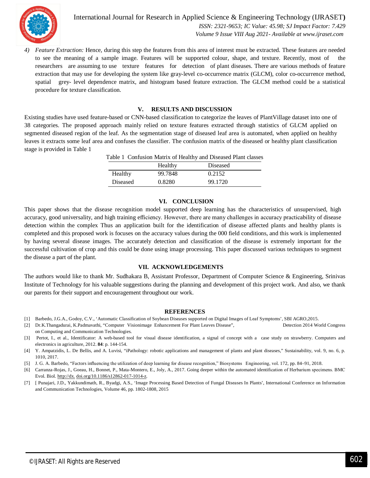

International Journal for Research in Applied Science & Engineering Technology (IJRASET**)**  *ISSN: 2321-9653; IC Value: 45.98; SJ Impact Factor: 7.429 Volume 9 Issue VIII Aug 2021- Available at www.ijraset.com*

*4) Feature Extraction:* Hence, during this step the features from this area of interest must be extracted. These features are needed to see the meaning of a sample image. Features will be supported colour, shape, and texture. Recently, most of the researchers are assuming to use texture features for detection of plant diseases. There are various methods of feature extraction that may use for developing the system like gray-level co-occurrence matrix (GLCM), color co-occurrence method, spatial grey- level dependence matrix, and histogram based feature extraction. The GLCM method could be a statistical procedure for texture classification.

#### **V. RESULTS AND DISCUSSION**

Existing studies have used feature-based or CNN-based classification to categorize the leaves of PlantVillage dataset into one of 38 categories. The proposed approach mainly relied on texture features extracted through statistics of GLCM applied on segmented diseased region of the leaf. As the segmentation stage of diseased leaf area is automated, when applied on healthy leaves it extracts some leaf area and confuses the classifier. The confusion matrix of the diseased or healthy plant classification stage is provided in Table 1

| Table 1 Confusion Matrix of Healthy and Diseased Plant classes |         |          |
|----------------------------------------------------------------|---------|----------|
|                                                                | Healthy | Diseased |
| Healthy                                                        | 99.7848 | 0.2152   |
| Diseased                                                       | 0.8280  | 99.1720  |

#### **VI. CONCLUSION**

This paper shows that the disease recognition model supported deep learning has the characteristics of unsupervised, high accuracy, good universality, and high training efficiency. However, there are many challenges in accuracy practicability of disease detection within the complex Thus an application built for the identification of disease affected plants and healthy plants is completed and this proposed work is focuses on the accuracy values during the 000 field conditions, and this work is implemented by having several disease images. The accurately detection and classification of the disease is extremely important for the successful cultivation of crop and this could be done using image processing. This paper discussed various techniques to segment the disease a part of the plant.

#### **VII. ACKNOWLEDGEMENTS**

The authors would like to thank Mr. Sudhakara B, Assistant Professor, Department of Computer Science & Engineering, Srinivas Institute of Technology for his valuable suggestions during the planning and development of this project work. And also, we thank our parents for their support and encouragement throughout our work.

#### **REFERENCES**

- [1] Barbedo, J.G.A., Godoy, C.V., 'Automatic Classification of Soybean Diseases supported on Digital Images of Leaf Symptoms', SBI AGRO,2015.
- [2] Dr.K.Thangadurai, K.Padmavathi, "Computer Visionimage Enhancement For Plant Leaves Disease", Detection 2014 World Congress on Computing and Communication Technologies.
- [3] Pertot, I., et al., Identificator: A web-based tool for visual disease identification, a signal of concept with a case study on strawberry. Computers and electronics in agriculture, 2012. **84**: p. 144-154.
- [4] Y. Ampatzidis, L. De Bellis, and A. Luvisi, "iPathology: robotic applications and management of plants and plant diseases," Sustainability, vol. 9, no. 6, p. 1010, 2017.
- [5] J. G. A. Barbedo, "Factors influencing the utilization of deep learning for disease recognition," Biosystems Engineering, vol. 172, pp. 84–91, 2018.
- [6] Carranza-Rojas, J., Goeau, H., Bonnet, P., Mata-Montero, E., Joly, A., 2017. Going deeper within the automated identification of Herbarium specimens. BMC Evol. Biol. http://dx. doi.org/10.1186/s12862-017-1014-z.
- [7] [ Punajari, J.D., Yakkundimath, R., Byadgi, A.S., 'Image Processing Based Detection of Fungal Diseases In Plants', International Conference on Information and Communication Technologies, Volume 46, pp. 1802-1808, 2015